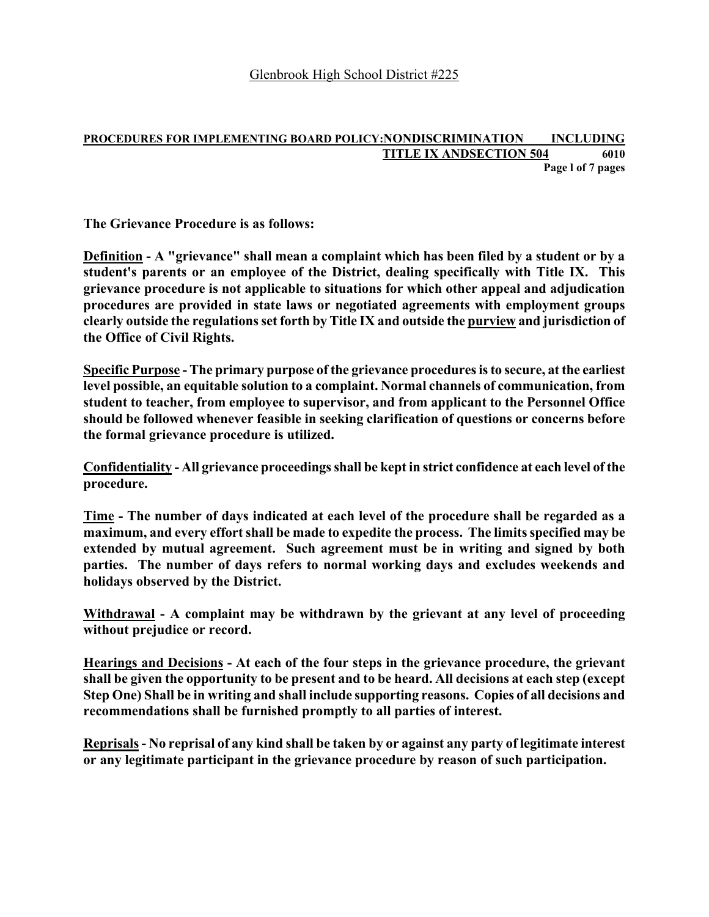#### **PROCEDURES FOR IMPLEMENTING BOARD POLICY:NONDISCRIMINATION INCLUDING TITLE IX ANDSECTION 504 6010 Page l of 7 pages**

**The Grievance Procedure is as follows:** 

**Definition - A "grievance" shall mean a complaint which has been filed by a student or by a student's parents or an employee of the District, dealing specifically with Title IX. This grievance procedure is not applicable to situations for which other appeal and adjudication procedures are provided in state laws or negotiated agreements with employment groups clearly outside the regulations set forth by Title IX and outside the purview and jurisdiction of the Office of Civil Rights.** 

**Specific Purpose - The primary purpose of the grievance procedures is to secure, at the earliest level possible, an equitable solution to a complaint. Normal channels of communication, from student to teacher, from employee to supervisor, and from applicant to the Personnel Office should be followed whenever feasible in seeking clarification of questions or concerns before the formal grievance procedure is utilized.** 

**Confidentiality - All grievance proceedings shall be kept in strict confidence at each level of the procedure.** 

**Time - The number of days indicated at each level of the procedure shall be regarded as a extended by mutual agreement. Such agreement must be in writing and signed by both parties. The number of days refers to normal working days and excludes weekends and holidays observed by the District. maximum, and every effort shall be made to expedite the process. The limits specified may be** 

**Withdrawal - A complaint may be withdrawn by the grievant at any level of proceeding without prejudice or record.** 

**Hearings and Decisions - At each of the four steps in the grievance procedure, the grievant shall be given the opportunity to be present and to be heard. All decisions at each step (except Step One) Shall be in writing and shall include supporting reasons. Copies of all decisions and recommendations shall be furnished promptly to all parties of interest.** 

**Reprisals - No reprisal of any kind shall be taken by or against any party of legitimate interest or any legitimate participant in the grievance procedure by reason of such participation.**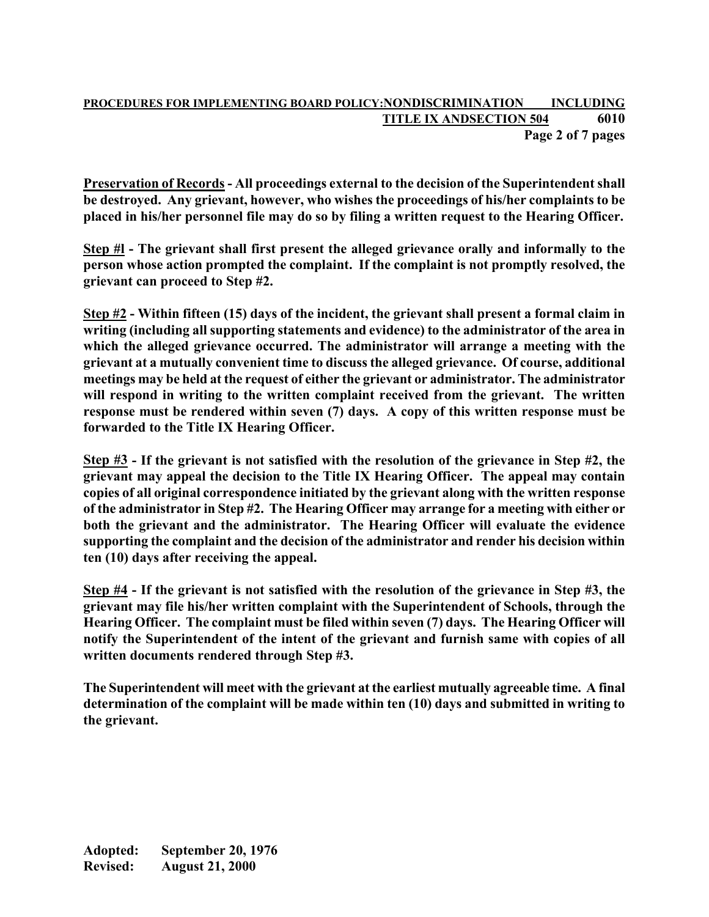#### **PROCEDURES FOR IMPLEMENTING BOARD POLICY:NONDISCRIMINATION INCLUDING TITLE IX ANDSECTION 504 6010 Page 2 of 7 pages**

**Preservation of Records - All proceedings external to the decision of the Superintendent shall be destroyed. Any grievant, however, who wishes the proceedings of his/her complaints to be placed in his/her personnel file may do so by filing a written request to the Hearing Officer.** 

**Step #l - The grievant shall first present the alleged grievance orally and informally to the person whose action prompted the complaint. If the complaint is not promptly resolved, the grievant can proceed to Step #2.** 

**Step #2 - Within fifteen (15) days of the incident, the grievant shall present a formal claim in writing (including all supporting statements and evidence) to the administrator of the area in which the alleged grievance occurred. The administrator will arrange a meeting with the grievant at a mutually convenient time to discuss the alleged grievance. Of course, additional meetings may be held at the request of either the grievant or administrator. The administrator will respond in writing to the written complaint received from the grievant. The written response must be rendered within seven (7) days. A copy of this written response must be forwarded to the Title IX Hearing Officer.** 

**Step #3 - If the grievant is not satisfied with the resolution of the grievance in Step #2, the grievant may appeal the decision to the Title IX Hearing Officer. The appeal may contain copies of all original correspondence initiated by the grievant along with the written response of the administrator in Step #2. The Hearing Officer may arrange for a meeting with either or both the grievant and the administrator. The Hearing Officer will evaluate the evidence supporting the complaint and the decision of the administrator and render his decision within ten (10) days after receiving the appeal.** 

**Step #4 - If the grievant is not satisfied with the resolution of the grievance in Step #3, the grievant may file his/her written complaint with the Superintendent of Schools, through the Hearing Officer. The complaint must be filed within seven (7) days. The Hearing Officer will notify the Superintendent of the intent of the grievant and furnish same with copies of all written documents rendered through Step #3.** 

**The Superintendent will meet with the grievant at the earliest mutually agreeable time. A final determination of the complaint will be made within ten (10) days and submitted in writing to the grievant.** 

**Adopted: September 20, 1976 Revised: August 21, 2000**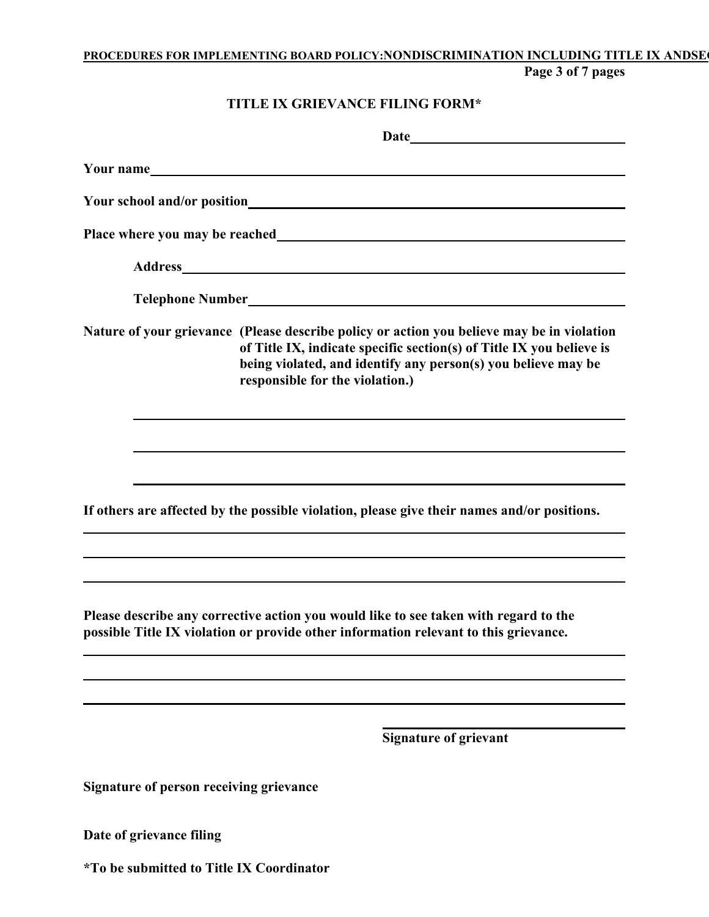# **PROCEDURES FOR IMPLEMENTING BOARD POLICY:NONDISCRIMINATION INCLUDING TITLE IX ANDSEC**

**Page 3 of 7 pages** 

### **TITLE IX GRIEVANCE FILING FORM\***

|                                         | Your name                                                                                                                                                                                                                                                                                                                                            |
|-----------------------------------------|------------------------------------------------------------------------------------------------------------------------------------------------------------------------------------------------------------------------------------------------------------------------------------------------------------------------------------------------------|
|                                         |                                                                                                                                                                                                                                                                                                                                                      |
|                                         |                                                                                                                                                                                                                                                                                                                                                      |
|                                         |                                                                                                                                                                                                                                                                                                                                                      |
|                                         |                                                                                                                                                                                                                                                                                                                                                      |
|                                         | Nature of your grievance (Please describe policy or action you believe may be in violation<br>of Title IX, indicate specific section(s) of Title IX you believe is<br>being violated, and identify any person(s) you believe may be<br>responsible for the violation.)                                                                               |
|                                         |                                                                                                                                                                                                                                                                                                                                                      |
|                                         |                                                                                                                                                                                                                                                                                                                                                      |
|                                         | If others are affected by the possible violation, please give their names and/or positions.<br>,我们也不会有什么。""我们的人,我们也不会有什么?""我们的人,我们也不会有什么?""我们的人,我们也不会有什么?""我们的人,我们也不会有什么?""我们的人                                                                                                                                                                      |
|                                         | ,我们也不会有什么。""我们的人,我们也不会有什么?""我们的人,我们也不会有什么?""我们的人,我们也不会有什么?""我们的人,我们也不会有什么?""我们的人<br>,我们也不会有什么。""我们的人,我们也不会有什么?""我们的人,我们也不会有什么?""我们的人,我们也不会有什么?""我们的人,我们也不会有什么?""我们的人<br>Please describe any corrective action you would like to see taken with regard to the<br>possible Title IX violation or provide other information relevant to this grievance. |
|                                         |                                                                                                                                                                                                                                                                                                                                                      |
|                                         | <b>Signature of grievant</b>                                                                                                                                                                                                                                                                                                                         |
| Signature of person receiving grievance |                                                                                                                                                                                                                                                                                                                                                      |

**Date of grievance filing** 

**\*To be submitted to Title IX Coordinator**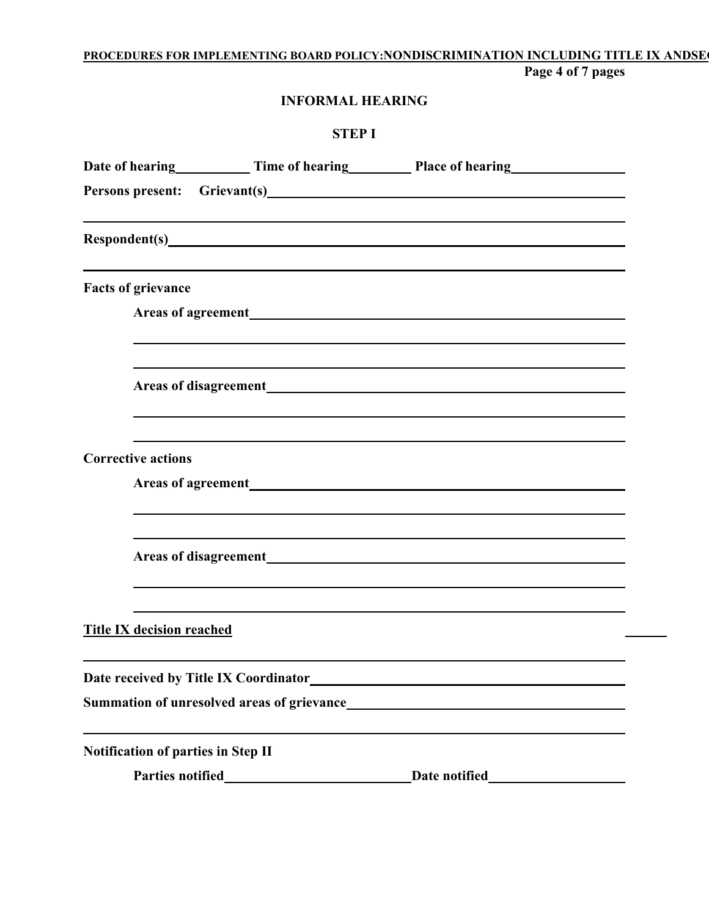#### **PROCEDURES FOR IMPLEMENTING BOARD POLICY:NONDISCRIMINATION INCLUDING TITLE IX ANDSEC Page 4 of 7 pages**

**INFORMAL HEARING** 

| <b>STEPI</b>                       |                                                                                                                                                                                                                                |  |  |
|------------------------------------|--------------------------------------------------------------------------------------------------------------------------------------------------------------------------------------------------------------------------------|--|--|
|                                    | Date of hearing Time of hearing Place of hearing                                                                                                                                                                               |  |  |
|                                    |                                                                                                                                                                                                                                |  |  |
|                                    | Respondent(s) exploration of the contract of the contract of the contract of the contract of the contract of the contract of the contract of the contract of the contract of the contract of the contract of the contract of t |  |  |
| <b>Facts of grievance</b>          |                                                                                                                                                                                                                                |  |  |
|                                    |                                                                                                                                                                                                                                |  |  |
|                                    |                                                                                                                                                                                                                                |  |  |
| <b>Corrective actions</b>          |                                                                                                                                                                                                                                |  |  |
|                                    |                                                                                                                                                                                                                                |  |  |
| <b>Title IX decision reached</b>   |                                                                                                                                                                                                                                |  |  |
|                                    |                                                                                                                                                                                                                                |  |  |
| Notification of parties in Step II |                                                                                                                                                                                                                                |  |  |
|                                    |                                                                                                                                                                                                                                |  |  |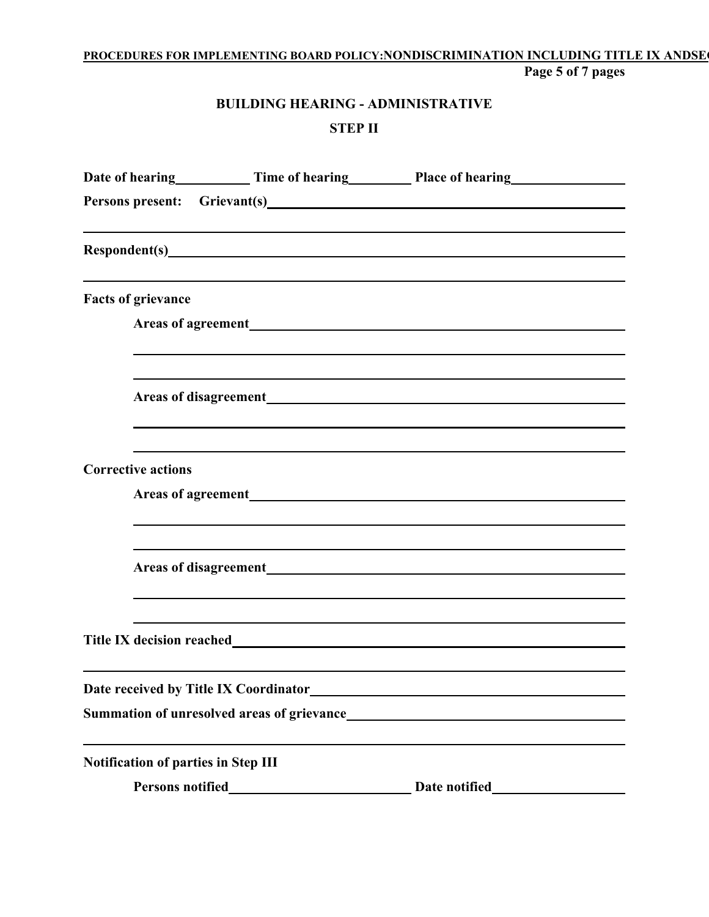### **PROCEDURES FOR IMPLEMENTING BOARD POLICY:NONDISCRIMINATION INCLUDING TITLE IX ANDSEC Page 5 of 7 pages**

# **BUILDING HEARING - ADMINISTRATIVE STEP II**

|                                            |                                           | Persons present: Grievant(s)                                      |  |
|--------------------------------------------|-------------------------------------------|-------------------------------------------------------------------|--|
|                                            |                                           |                                                                   |  |
| <b>Facts of grievance</b>                  |                                           |                                                                   |  |
|                                            |                                           |                                                                   |  |
|                                            |                                           |                                                                   |  |
|                                            |                                           |                                                                   |  |
| <b>Corrective actions</b>                  |                                           |                                                                   |  |
|                                            |                                           |                                                                   |  |
|                                            |                                           |                                                                   |  |
|                                            |                                           |                                                                   |  |
| Date received by Title IX Coordinator_     |                                           | <u> 1980 - Johann John Stone, mars eta biztanleria (h. 1980).</u> |  |
|                                            |                                           | Summation of unresolved areas of grievance                        |  |
| <b>Notification of parties in Step III</b> |                                           |                                                                   |  |
| Persons notified                           | <u> 1989 - Andrea Aonaichte ann an t-</u> | Date notified                                                     |  |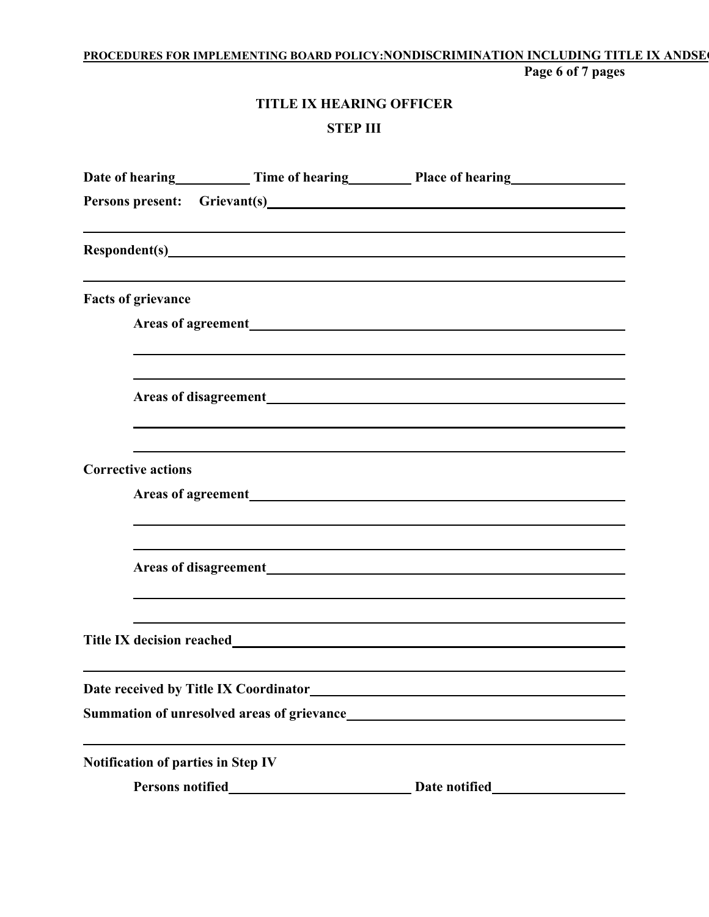### **PROCEDURES FOR IMPLEMENTING BOARD POLICY:NONDISCRIMINATION INCLUDING TITLE IX ANDSEC Page 6 of 7 pages**

# **TITLE IX HEARING OFFICER STEP III**

|                                           | Persons present: Grievant(s) CONFINSION CONSUMING THE CONSUMING THE CONSUMING THE CONSUMING THE CONSUMING THE CONSUMING THE CONSUMING THE CONSUMING THE CONSUMING THE CONSUMING THE CONSUMING THE CONSUMING THE CONSUMING THE |  |
|-------------------------------------------|-------------------------------------------------------------------------------------------------------------------------------------------------------------------------------------------------------------------------------|--|
|                                           |                                                                                                                                                                                                                               |  |
| <b>Facts of grievance</b>                 |                                                                                                                                                                                                                               |  |
|                                           |                                                                                                                                                                                                                               |  |
|                                           |                                                                                                                                                                                                                               |  |
| <b>Corrective actions</b>                 |                                                                                                                                                                                                                               |  |
|                                           |                                                                                                                                                                                                                               |  |
|                                           |                                                                                                                                                                                                                               |  |
|                                           |                                                                                                                                                                                                                               |  |
| Date received by Title IX Coordinator     |                                                                                                                                                                                                                               |  |
|                                           | <b>Summation of unresolved areas of grievance</b>                                                                                                                                                                             |  |
| <b>Notification of parties in Step IV</b> |                                                                                                                                                                                                                               |  |
|                                           | Date notified                                                                                                                                                                                                                 |  |